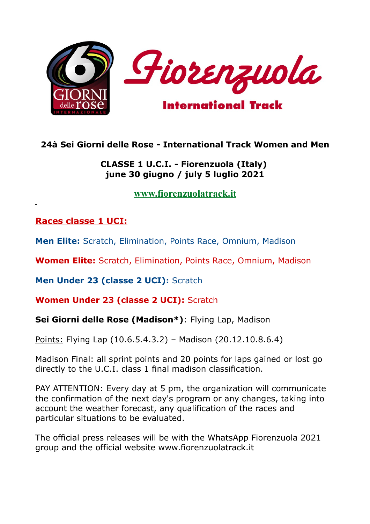

## **24à Sei Giorni delle Rose - International Track Women and Men**

### **CLASSE 1 U.C.I. - Fiorenzuola (Italy) june 30 giugno / july 5 luglio 2021**

**[www.fiorenzuolatrack.it](http://www.fiorenzuolatrack.it/)**

### **Races classe 1 UCI:**

**Men Elite:** Scratch, Elimination, Points Race, Omnium, Madison

**Women Elite:** Scratch, Elimination, Points Race, Omnium, Madison

**Men Under 23 (classe 2 UCI):** Scratch

**Women Under 23 (classe 2 UCI):** Scratch

**Sei Giorni delle Rose (Madison\*)**: Flying Lap, Madison

Points: Flying Lap (10.6.5.4.3.2) – Madison (20.12.10.8.6.4)

Madison Final: all sprint points and 20 points for laps gained or lost go directly to the U.C.I. class 1 final madison classification.

PAY ATTENTION: Every day at 5 pm, the organization will communicate the confirmation of the next day's program or any changes, taking into account the weather forecast, any qualification of the races and particular situations to be evaluated.

The official press releases will be with the WhatsApp Fiorenzuola 2021 group and the official website www.fiorenzuolatrack.it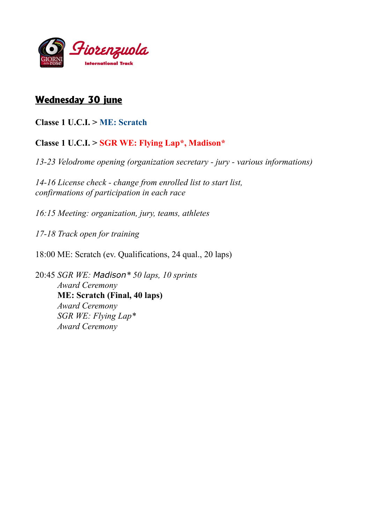

## **Wednesday 30 june**

**Classe 1 U.C.I. > ME: Scratch** 

### **Classe 1 U.C.I. > SGR WE: Flying Lap\*, Madison\***

*13-23 Velodrome opening (organization secretary - jury - various informations)*

*14-16 License check - change from enrolled list to start list, confirmations of participation in each race*

*16:15 Meeting: organization, jury, teams, athletes*

*17-18 Track open for training*

18:00 ME: Scratch (ev. Qualifications, 24 qual., 20 laps)

20:45 *SGR WE: Madison\* 50 laps, 10 sprints Award Ceremony* **ME: Scratch (Final, 40 laps)**  *Award Ceremony SGR WE: Flying Lap\* Award Ceremony*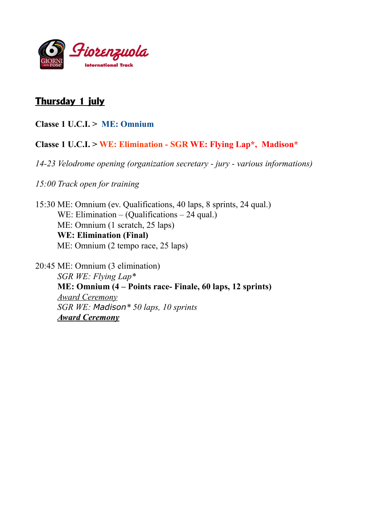

## **Thursday 1 july**

**Classe 1 U.C.I. > ME: Omnium**

#### **Classe 1 U.C.I. > WE: Elimination - SGR WE: Flying Lap\*, Madison\***

*14-23 Velodrome opening (organization secretary - jury - various informations)*

*15:00 Track open for training*

15:30 ME: Omnium (ev. Qualifications, 40 laps, 8 sprints, 24 qual.) WE: Elimination – (Qualifications – 24 qual.) ME: Omnium (1 scratch, 25 laps) **WE: Elimination (Final)** ME: Omnium (2 tempo race, 25 laps)

20:45 ME: Omnium (3 elimination) *SGR WE: Flying Lap\** **ME: Omnium (4 – Points race- Finale, 60 laps, 12 sprints)** *Award Ceremony SGR WE: Madison\* 50 laps, 10 sprints Award Ceremony*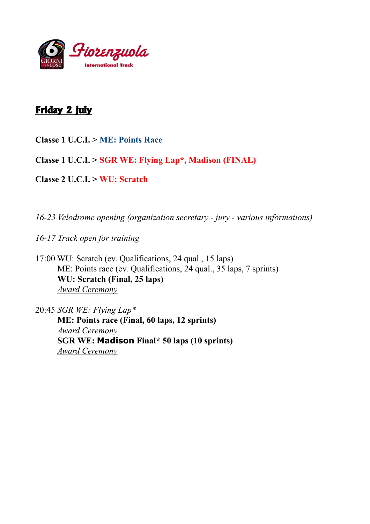

# **Friday 2 july**

**Classe 1 U.C.I. > ME: Points Race**

**Classe 1 U.C.I. > SGR WE: Flying Lap\*, Madison (FINAL)**

**Classe 2 U.C.I. > WU: Scratch**

*16-23 Velodrome opening (organization secretary - jury - various informations)*

*16-17 Track open for training*

17:00 WU: Scratch (ev. Qualifications, 24 qual., 15 laps) ME: Points race (ev. Qualifications, 24 qual., 35 laps, 7 sprints) **WU: Scratch (Final, 25 laps)**  *Award Ceremony*

20:45 *SGR WE: Flying Lap\** **ME: Points race (Final, 60 laps, 12 sprints)** *Award Ceremony* **SGR WE: Madison Final\* 50 laps (10 sprints)** *Award Ceremony*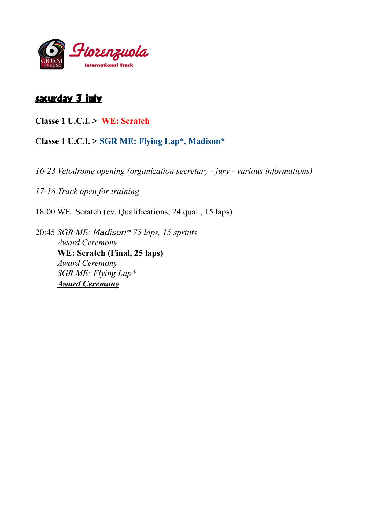

## **saturday 3 july**

**Classe 1 U.C.I. > WE: Scratch**

**Classe 1 U.C.I. > SGR ME: Flying Lap\*, Madison\***

*16-23 Velodrome opening (organization secretary - jury - various informations)*

*17-18 Track open for training*

18:00 WE: Scratch (ev. Qualifications, 24 qual., 15 laps)

20:45 *SGR ME: Madison\* 75 laps, 15 sprints Award Ceremony* **WE: Scratch (Final, 25 laps)**  *Award Ceremony SGR ME: Flying Lap\* Award Ceremony*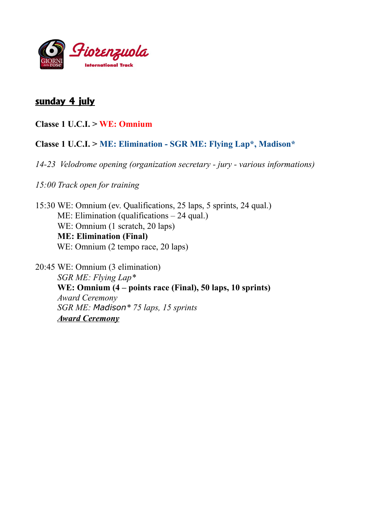

## **sunday 4 july**

**Classe 1 U.C.I. > WE: Omnium**

#### **Classe 1 U.C.I. > ME: Elimination - SGR ME: Flying Lap\*, Madison\***

- *14-23 Velodrome opening (organization secretary jury various informations)*
- *15:00 Track open for training*

15:30 WE: Omnium (ev. Qualifications, 25 laps, 5 sprints, 24 qual.) ME: Elimination (qualifications – 24 qual.) WE: Omnium (1 scratch, 20 laps) **ME: Elimination (Final)** WE: Omnium (2 tempo race, 20 laps)

20:45 WE: Omnium (3 elimination) *SGR ME: Flying Lap\** **WE: Omnium (4 – points race (Final), 50 laps, 10 sprints)** *Award Ceremony SGR ME: Madison\* 75 laps, 15 sprints Award Ceremony*